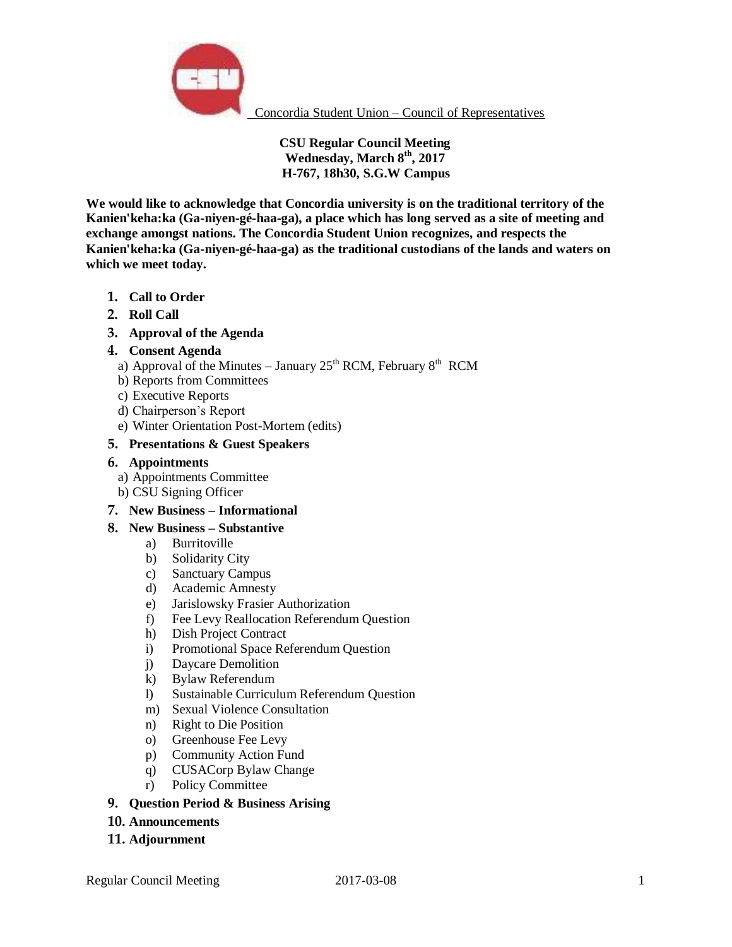

Concordia Student Union – Council of Representatives

**CSU Regular Council Meeting Wednesday, March 8th, 2017 H-767, 18h30, S.G.W Campus**

**We would like to acknowledge that Concordia university is on the traditional territory of the Kanien'keha:ka (Ga-niyen-gé-haa-ga), a place which has long served as a site of meeting and exchange amongst nations. The Concordia Student Union recognizes, and respects the Kanien'keha:ka (Ga-niyen-gé-haa-ga) as the traditional custodians of the lands and waters on which we meet today.** 

- **1. Call to Order**
- **2. Roll Call**
- **3. Approval of the Agenda**

## **4. Consent Agenda**

- a) Approval of the Minutes January  $25<sup>th</sup> RCM$ , February  $8<sup>th</sup> RCM$
- b) Reports from Committees
- c) Executive Reports
- d) Chairperson's Report
- e) Winter Orientation Post-Mortem (edits)

## **5. Presentations & Guest Speakers**

## **6. Appointments**

- a) Appointments Committee
- b) CSU Signing Officer

## **7. New Business – Informational**

- **8. New Business – Substantive** 
	- a) Burritoville
	- b) Solidarity City
	- c) Sanctuary Campus
	- d) Academic Amnesty
	- e) Jarislowsky Frasier Authorization
	- f) Fee Levy Reallocation Referendum Question
	- h) Dish Project Contract
	- i) Promotional Space Referendum Question
	- j) Daycare Demolition
	- k) Bylaw Referendum
	- l) Sustainable Curriculum Referendum Question
	- m) Sexual Violence Consultation
	- n) Right to Die Position
	- o) Greenhouse Fee Levy
	- p) Community Action Fund
	- q) CUSACorp Bylaw Change
	- r) Policy Committee
- **9. Question Period & Business Arising**
- **10. Announcements**
- **11. Adjournment**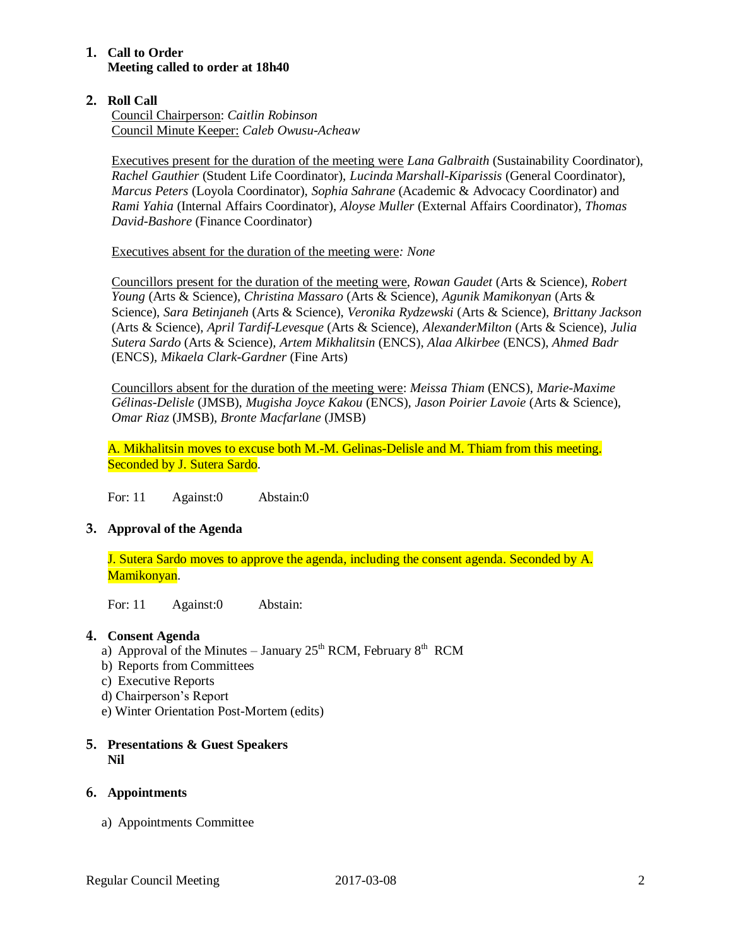# **1. Call to Order Meeting called to order at 18h40**

# **2. Roll Call**

Council Chairperson: *Caitlin Robinson* Council Minute Keeper: *Caleb Owusu-Acheaw*

Executives present for the duration of the meeting were *Lana Galbraith* (Sustainability Coordinator), *Rachel Gauthier* (Student Life Coordinator), *Lucinda Marshall-Kiparissis* (General Coordinator), *Marcus Peters* (Loyola Coordinator), *Sophia Sahrane* (Academic & Advocacy Coordinator) and *Rami Yahia* (Internal Affairs Coordinator), *Aloyse Muller* (External Affairs Coordinator)*, Thomas David-Bashore* (Finance Coordinator)

Executives absent for the duration of the meeting were*: None*

Councillors present for the duration of the meeting were, *Rowan Gaudet* (Arts & Science)*, Robert Young* (Arts & Science)*, Christina Massaro* (Arts & Science), *Agunik Mamikonyan* (Arts & Science), *Sara Betinjaneh* (Arts & Science), *Veronika Rydzewski* (Arts & Science), *Brittany Jackson*  (Arts & Science), *April Tardif-Levesque* (Arts & Science), *AlexanderMilton* (Arts & Science), *Julia Sutera Sardo* (Arts & Science)*, Artem Mikhalitsin* (ENCS), *Alaa Alkirbee* (ENCS), *Ahmed Badr*  (ENCS), *Mikaela Clark-Gardner* (Fine Arts)

Councillors absent for the duration of the meeting were: *Meissa Thiam* (ENCS), *Marie-Maxime Gélinas-Delisle* (JMSB), *Mugisha Joyce Kakou* (ENCS)*, Jason Poirier Lavoie* (Arts & Science), *Omar Riaz* (JMSB), *Bronte Macfarlane* (JMSB)

A. Mikhalitsin moves to excuse both M.-M. Gelinas-Delisle and M. Thiam from this meeting. Seconded by J. Sutera Sardo.

For: 11 Against:0 Abstain:0

# **3. Approval of the Agenda**

J. Sutera Sardo moves to approve the agenda, including the consent agenda. Seconded by A. Mamikonyan.

For: 11 Against:0 Abstain:

# **4. Consent Agenda**

- a) Approval of the Minutes January  $25<sup>th</sup> RCM$ , February  $8<sup>th</sup> RCM$
- b) Reports from Committees
- c) Executive Reports
- d) Chairperson's Report
- e) Winter Orientation Post-Mortem (edits)

## **5. Presentations & Guest Speakers Nil**

# **6. Appointments**

a) Appointments Committee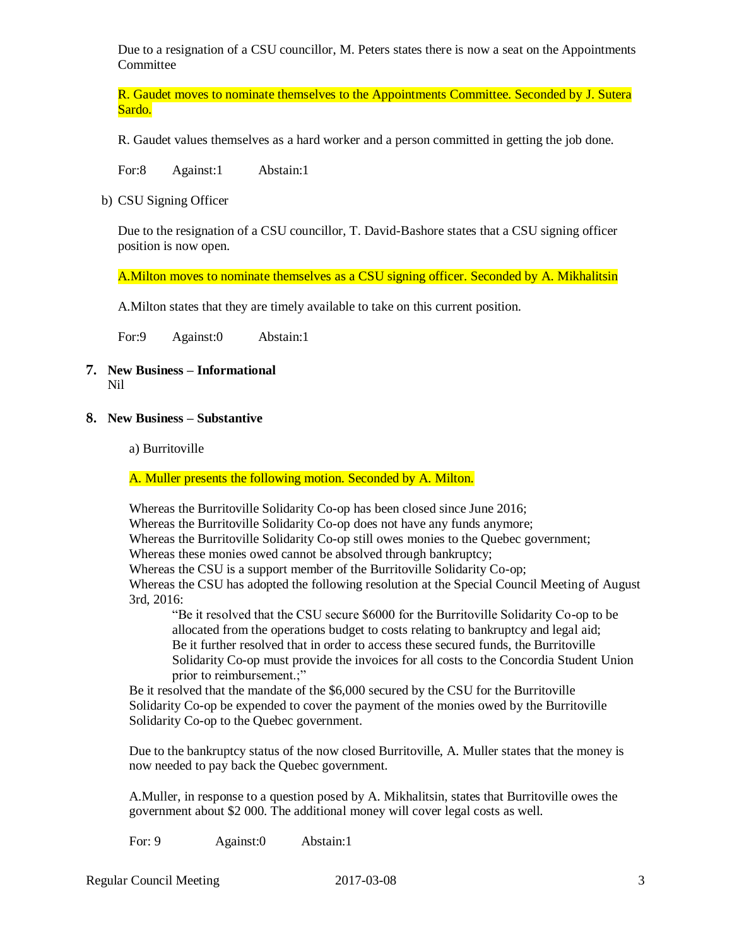Due to a resignation of a CSU councillor, M. Peters states there is now a seat on the Appointments Committee

R. Gaudet moves to nominate themselves to the Appointments Committee. Seconded by J. Sutera Sardo.

R. Gaudet values themselves as a hard worker and a person committed in getting the job done.

For:8 Against:1 Abstain:1

b) CSU Signing Officer

Due to the resignation of a CSU councillor, T. David-Bashore states that a CSU signing officer position is now open.

A.Milton moves to nominate themselves as a CSU signing officer. Seconded by A. Mikhalitsin

A.Milton states that they are timely available to take on this current position.

For:9 Against:0 Abstain:1

- **7. New Business – Informational** Nil
- **8. New Business – Substantive**
	- a) Burritoville

A. Muller presents the following motion. Seconded by A. Milton.

Whereas the Burritoville Solidarity Co-op has been closed since June 2016; Whereas the Burritoville Solidarity Co-op does not have any funds anymore; Whereas the Burritoville Solidarity Co-op still owes monies to the Quebec government; Whereas these monies owed cannot be absolved through bankruptcy; Whereas the CSU is a support member of the Burritoville Solidarity Co-op; Whereas the CSU has adopted the following resolution at the Special Council Meeting of August 3rd, 2016: "Be it resolved that the CSU secure \$6000 for the Burritoville Solidarity Co-op to be

allocated from the operations budget to costs relating to bankruptcy and legal aid; Be it further resolved that in order to access these secured funds, the Burritoville Solidarity Co-op must provide the invoices for all costs to the Concordia Student Union prior to reimbursement.;"

Be it resolved that the mandate of the \$6,000 secured by the CSU for the Burritoville Solidarity Co-op be expended to cover the payment of the monies owed by the Burritoville Solidarity Co-op to the Quebec government.

Due to the bankruptcy status of the now closed Burritoville, A. Muller states that the money is now needed to pay back the Quebec government.

A.Muller, in response to a question posed by A. Mikhalitsin, states that Burritoville owes the government about \$2 000. The additional money will cover legal costs as well.

For: 9 Against:0 Abstain:1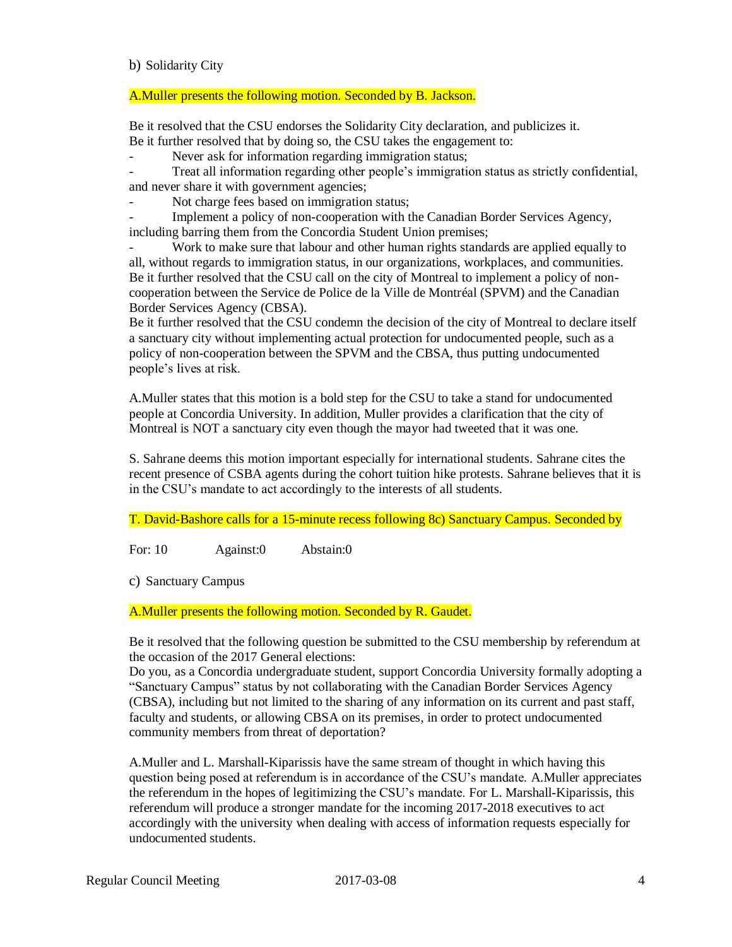## b) Solidarity City

## A.Muller presents the following motion. Seconded by B. Jackson.

Be it resolved that the CSU endorses the Solidarity City declaration, and publicizes it. Be it further resolved that by doing so, the CSU takes the engagement to:

- Never ask for information regarding immigration status;

Treat all information regarding other people's immigration status as strictly confidential, and never share it with government agencies;

Not charge fees based on immigration status:

Implement a policy of non-cooperation with the Canadian Border Services Agency, including barring them from the Concordia Student Union premises;

Work to make sure that labour and other human rights standards are applied equally to all, without regards to immigration status, in our organizations, workplaces, and communities. Be it further resolved that the CSU call on the city of Montreal to implement a policy of noncooperation between the Service de Police de la Ville de Montréal (SPVM) and the Canadian Border Services Agency (CBSA).

Be it further resolved that the CSU condemn the decision of the city of Montreal to declare itself a sanctuary city without implementing actual protection for undocumented people, such as a policy of non-cooperation between the SPVM and the CBSA, thus putting undocumented people's lives at risk.

A.Muller states that this motion is a bold step for the CSU to take a stand for undocumented people at Concordia University. In addition, Muller provides a clarification that the city of Montreal is NOT a sanctuary city even though the mayor had tweeted that it was one.

S. Sahrane deems this motion important especially for international students. Sahrane cites the recent presence of CSBA agents during the cohort tuition hike protests. Sahrane believes that it is in the CSU's mandate to act accordingly to the interests of all students.

T. David-Bashore calls for a 15-minute recess following 8c) Sanctuary Campus. Seconded by

For: 10 Against:0 Abstain:0

c) Sanctuary Campus

A. Muller presents the following motion. Seconded by R. Gaudet.

Be it resolved that the following question be submitted to the CSU membership by referendum at the occasion of the 2017 General elections:

Do you, as a Concordia undergraduate student, support Concordia University formally adopting a "Sanctuary Campus" status by not collaborating with the Canadian Border Services Agency (CBSA), including but not limited to the sharing of any information on its current and past staff, faculty and students, or allowing CBSA on its premises, in order to protect undocumented community members from threat of deportation?

A.Muller and L. Marshall-Kiparissis have the same stream of thought in which having this question being posed at referendum is in accordance of the CSU's mandate. A.Muller appreciates the referendum in the hopes of legitimizing the CSU's mandate. For L. Marshall-Kiparissis, this referendum will produce a stronger mandate for the incoming 2017-2018 executives to act accordingly with the university when dealing with access of information requests especially for undocumented students.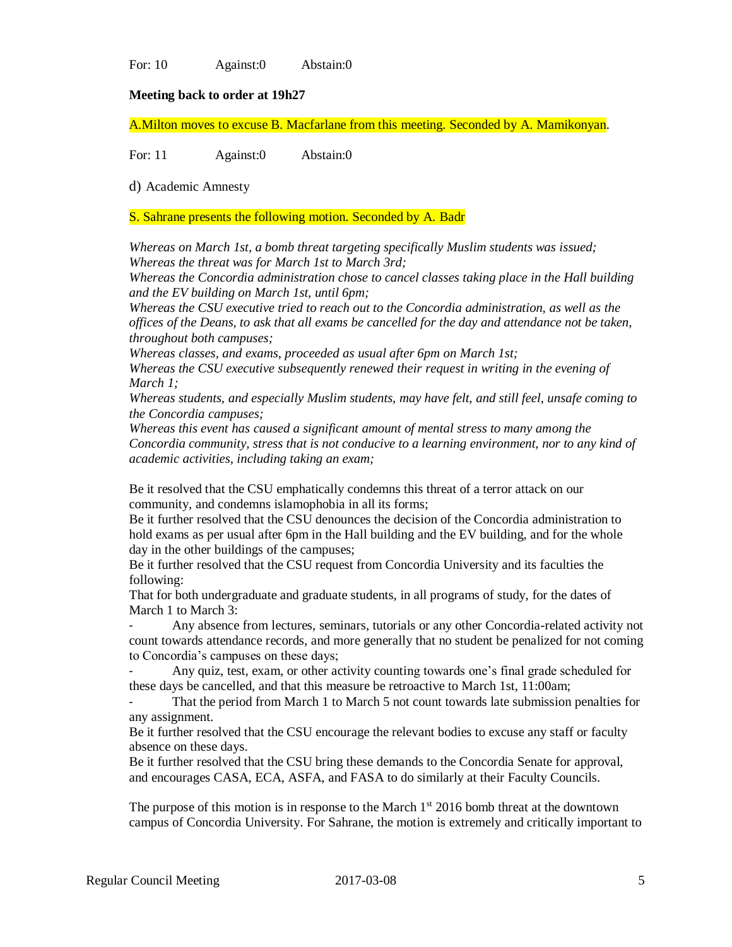For: 10 Against:0 Abstain:0

## **Meeting back to order at 19h27**

A.Milton moves to excuse B. Macfarlane from this meeting. Seconded by A. Mamikonyan.

For: 11 Against:0 Abstain:0

d) Academic Amnesty

S. Sahrane presents the following motion. Seconded by A. Badr

*Whereas on March 1st, a bomb threat targeting specifically Muslim students was issued; Whereas the threat was for March 1st to March 3rd;* 

*Whereas the Concordia administration chose to cancel classes taking place in the Hall building and the EV building on March 1st, until 6pm;* 

*Whereas the CSU executive tried to reach out to the Concordia administration, as well as the offices of the Deans, to ask that all exams be cancelled for the day and attendance not be taken, throughout both campuses;* 

*Whereas classes, and exams, proceeded as usual after 6pm on March 1st;* 

*Whereas the CSU executive subsequently renewed their request in writing in the evening of March 1;* 

*Whereas students, and especially Muslim students, may have felt, and still feel, unsafe coming to the Concordia campuses;* 

*Whereas this event has caused a significant amount of mental stress to many among the Concordia community, stress that is not conducive to a learning environment, nor to any kind of academic activities, including taking an exam;* 

Be it resolved that the CSU emphatically condemns this threat of a terror attack on our community, and condemns islamophobia in all its forms;

Be it further resolved that the CSU denounces the decision of the Concordia administration to hold exams as per usual after 6pm in the Hall building and the EV building, and for the whole day in the other buildings of the campuses;

Be it further resolved that the CSU request from Concordia University and its faculties the following:

That for both undergraduate and graduate students, in all programs of study, for the dates of March 1 to March 3:

- Any absence from lectures, seminars, tutorials or any other Concordia-related activity not count towards attendance records, and more generally that no student be penalized for not coming to Concordia's campuses on these days;

- Any quiz, test, exam, or other activity counting towards one's final grade scheduled for these days be cancelled, and that this measure be retroactive to March 1st, 11:00am;

That the period from March 1 to March 5 not count towards late submission penalties for any assignment.

Be it further resolved that the CSU encourage the relevant bodies to excuse any staff or faculty absence on these days.

Be it further resolved that the CSU bring these demands to the Concordia Senate for approval, and encourages CASA, ECA, ASFA, and FASA to do similarly at their Faculty Councils.

The purpose of this motion is in response to the March  $1<sup>st</sup>$  2016 bomb threat at the downtown campus of Concordia University. For Sahrane, the motion is extremely and critically important to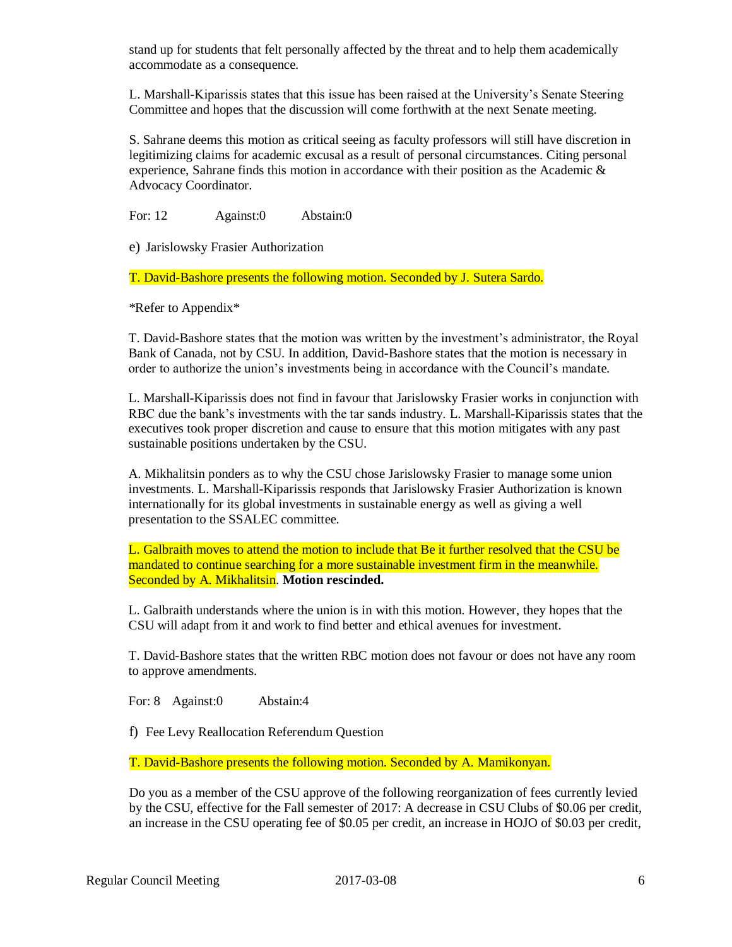stand up for students that felt personally affected by the threat and to help them academically accommodate as a consequence.

L. Marshall-Kiparissis states that this issue has been raised at the University's Senate Steering Committee and hopes that the discussion will come forthwith at the next Senate meeting.

S. Sahrane deems this motion as critical seeing as faculty professors will still have discretion in legitimizing claims for academic excusal as a result of personal circumstances. Citing personal experience, Sahrane finds this motion in accordance with their position as the Academic  $\&$ Advocacy Coordinator.

For: 12 Against:0 Abstain:0

e) Jarislowsky Frasier Authorization

T. David-Bashore presents the following motion. Seconded by J. Sutera Sardo.

\*Refer to Appendix\*

T. David-Bashore states that the motion was written by the investment's administrator, the Royal Bank of Canada, not by CSU. In addition, David-Bashore states that the motion is necessary in order to authorize the union's investments being in accordance with the Council's mandate.

L. Marshall-Kiparissis does not find in favour that Jarislowsky Frasier works in conjunction with RBC due the bank's investments with the tar sands industry. L. Marshall-Kiparissis states that the executives took proper discretion and cause to ensure that this motion mitigates with any past sustainable positions undertaken by the CSU.

A. Mikhalitsin ponders as to why the CSU chose Jarislowsky Frasier to manage some union investments. L. Marshall-Kiparissis responds that Jarislowsky Frasier Authorization is known internationally for its global investments in sustainable energy as well as giving a well presentation to the SSALEC committee.

L. Galbraith moves to attend the motion to include that Be it further resolved that the CSU be mandated to continue searching for a more sustainable investment firm in the meanwhile. Seconded by A. Mikhalitsin. **Motion rescinded.**

L. Galbraith understands where the union is in with this motion. However, they hopes that the CSU will adapt from it and work to find better and ethical avenues for investment.

T. David-Bashore states that the written RBC motion does not favour or does not have any room to approve amendments.

For: 8 Against:0 Abstain:4

f) Fee Levy Reallocation Referendum Question

T. David-Bashore presents the following motion. Seconded by A. Mamikonyan.

Do you as a member of the CSU approve of the following reorganization of fees currently levied by the CSU, effective for the Fall semester of 2017: A decrease in CSU Clubs of \$0.06 per credit, an increase in the CSU operating fee of \$0.05 per credit, an increase in HOJO of \$0.03 per credit,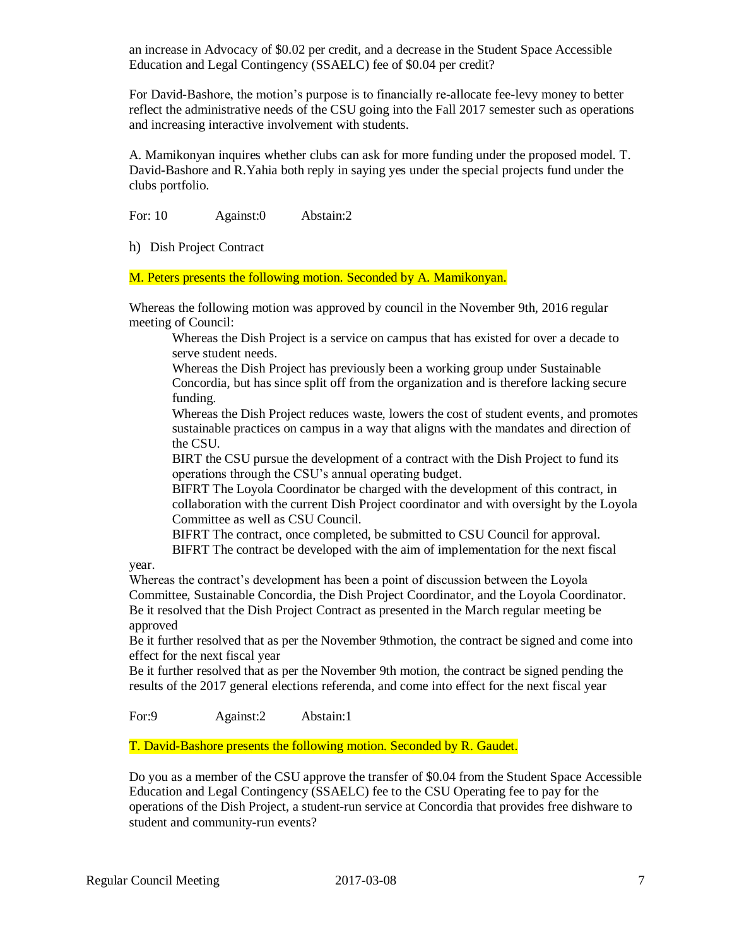an increase in Advocacy of \$0.02 per credit, and a decrease in the Student Space Accessible Education and Legal Contingency (SSAELC) fee of \$0.04 per credit?

For David-Bashore, the motion's purpose is to financially re-allocate fee-levy money to better reflect the administrative needs of the CSU going into the Fall 2017 semester such as operations and increasing interactive involvement with students.

A. Mamikonyan inquires whether clubs can ask for more funding under the proposed model. T. David-Bashore and R.Yahia both reply in saying yes under the special projects fund under the clubs portfolio.

For: 10 Against:0 Abstain:2

h) Dish Project Contract

M. Peters presents the following motion. Seconded by A. Mamikonyan.

Whereas the following motion was approved by council in the November 9th, 2016 regular meeting of Council:

Whereas the Dish Project is a service on campus that has existed for over a decade to serve student needs.

Whereas the Dish Project has previously been a working group under Sustainable Concordia, but has since split off from the organization and is therefore lacking secure funding.

Whereas the Dish Project reduces waste, lowers the cost of student events, and promotes sustainable practices on campus in a way that aligns with the mandates and direction of the CSU.

BIRT the CSU pursue the development of a contract with the Dish Project to fund its operations through the CSU's annual operating budget.

BIFRT The Loyola Coordinator be charged with the development of this contract, in collaboration with the current Dish Project coordinator and with oversight by the Loyola Committee as well as CSU Council.

BIFRT The contract, once completed, be submitted to CSU Council for approval. BIFRT The contract be developed with the aim of implementation for the next fiscal

year.

Whereas the contract's development has been a point of discussion between the Loyola Committee, Sustainable Concordia, the Dish Project Coordinator, and the Loyola Coordinator. Be it resolved that the Dish Project Contract as presented in the March regular meeting be approved

Be it further resolved that as per the November 9thmotion, the contract be signed and come into effect for the next fiscal year

Be it further resolved that as per the November 9th motion, the contract be signed pending the results of the 2017 general elections referenda, and come into effect for the next fiscal year

For:9 Against:2 Abstain:1

T. David-Bashore presents the following motion. Seconded by R. Gaudet.

Do you as a member of the CSU approve the transfer of \$0.04 from the Student Space Accessible Education and Legal Contingency (SSAELC) fee to the CSU Operating fee to pay for the operations of the Dish Project, a student-run service at Concordia that provides free dishware to student and community-run events?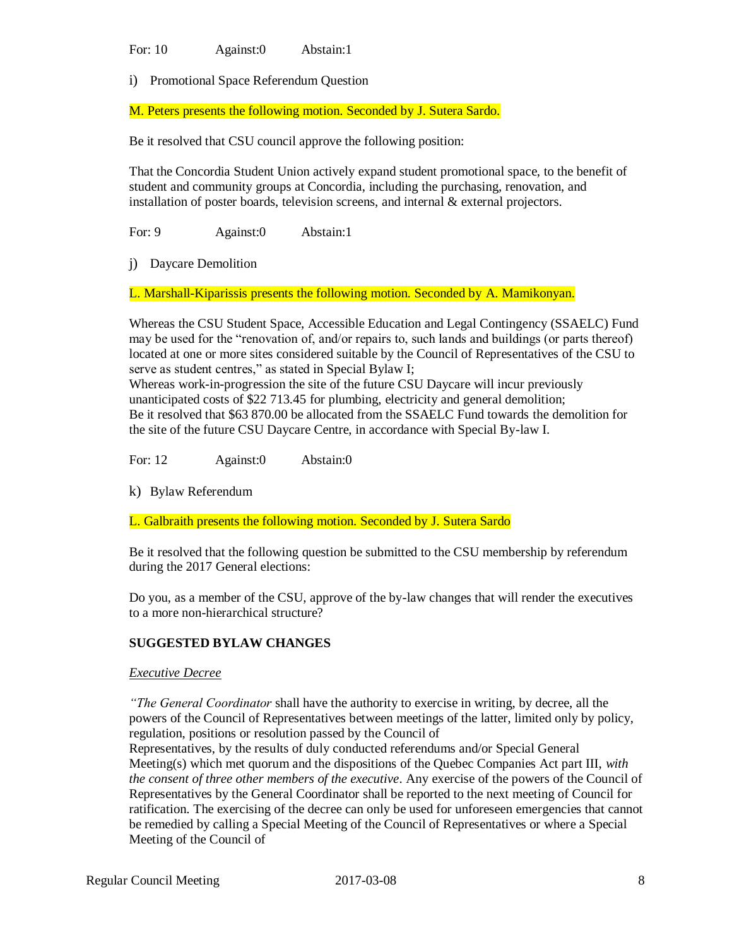For: 10 Against:0 Abstain:1

i) Promotional Space Referendum Question

M. Peters presents the following motion. Seconded by J. Sutera Sardo.

Be it resolved that CSU council approve the following position:

That the Concordia Student Union actively expand student promotional space, to the benefit of student and community groups at Concordia, including the purchasing, renovation, and installation of poster boards, television screens, and internal  $\&$  external projectors.

For: 9 Against:0 Abstain:1

j) Daycare Demolition

L. Marshall-Kiparissis presents the following motion. Seconded by A. Mamikonyan.

Whereas the CSU Student Space, Accessible Education and Legal Contingency (SSAELC) Fund may be used for the "renovation of, and/or repairs to, such lands and buildings (or parts thereof) located at one or more sites considered suitable by the Council of Representatives of the CSU to serve as student centres," as stated in Special Bylaw I;

Whereas work-in-progression the site of the future CSU Daycare will incur previously unanticipated costs of \$22 713.45 for plumbing, electricity and general demolition; Be it resolved that \$63 870.00 be allocated from the SSAELC Fund towards the demolition for the site of the future CSU Daycare Centre, in accordance with Special By-law I.

For: 12 Against:0 Abstain:0

k) Bylaw Referendum

L. Galbraith presents the following motion. Seconded by J. Sutera Sardo

Be it resolved that the following question be submitted to the CSU membership by referendum during the 2017 General elections:

Do you, as a member of the CSU, approve of the by-law changes that will render the executives to a more non-hierarchical structure?

## **SUGGESTED BYLAW CHANGES**

### *Executive Decree*

*"The General Coordinator* shall have the authority to exercise in writing, by decree, all the powers of the Council of Representatives between meetings of the latter, limited only by policy, regulation, positions or resolution passed by the Council of

Representatives, by the results of duly conducted referendums and/or Special General Meeting(s) which met quorum and the dispositions of the Quebec Companies Act part III, *with the consent of three other members of the executive*. Any exercise of the powers of the Council of Representatives by the General Coordinator shall be reported to the next meeting of Council for ratification. The exercising of the decree can only be used for unforeseen emergencies that cannot be remedied by calling a Special Meeting of the Council of Representatives or where a Special Meeting of the Council of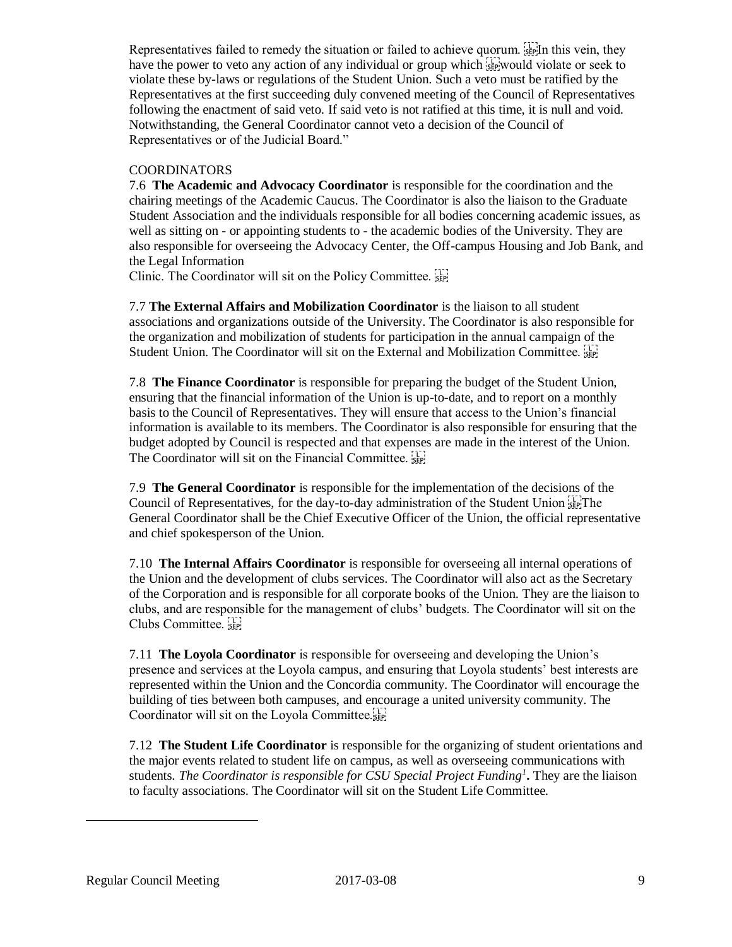Representatives failed to remedy the situation or failed to achieve quorum.  $\frac{1}{35}$  In this vein, they have the power to veto any action of any individual or group which  $\frac{1}{3}$ . Would violate or seek to violate these by-laws or regulations of the Student Union. Such a veto must be ratified by the Representatives at the first succeeding duly convened meeting of the Council of Representatives following the enactment of said veto. If said veto is not ratified at this time, it is null and void. Notwithstanding, the General Coordinator cannot veto a decision of the Council of Representatives or of the Judicial Board."

# COORDINATORS

7.6 **The Academic and Advocacy Coordinator** is responsible for the coordination and the chairing meetings of the Academic Caucus. The Coordinator is also the liaison to the Graduate Student Association and the individuals responsible for all bodies concerning academic issues, as well as sitting on - or appointing students to - the academic bodies of the University. They are also responsible for overseeing the Advocacy Center, the Off-campus Housing and Job Bank, and the Legal Information

Clinic. The Coordinator will sit on the Policy Committee. SEPI

7.7 **The External Affairs and Mobilization Coordinator** is the liaison to all student associations and organizations outside of the University. The Coordinator is also responsible for the organization and mobilization of students for participation in the annual campaign of the Student Union. The Coordinator will sit on the External and Mobilization Committee.  $\frac{1}{36}$ 

7.8 **The Finance Coordinator** is responsible for preparing the budget of the Student Union, ensuring that the financial information of the Union is up-to-date, and to report on a monthly basis to the Council of Representatives. They will ensure that access to the Union's financial information is available to its members. The Coordinator is also responsible for ensuring that the budget adopted by Council is respected and that expenses are made in the interest of the Union. The Coordinator will sit on the Financial Committee. SEP!

7.9 **The General Coordinator** is responsible for the implementation of the decisions of the Council of Representatives, for the day-to-day administration of the Student Union  $\frac{1}{3}$ General Coordinator shall be the Chief Executive Officer of the Union, the official representative and chief spokesperson of the Union.

7.10 **The Internal Affairs Coordinator** is responsible for overseeing all internal operations of the Union and the development of clubs services. The Coordinator will also act as the Secretary of the Corporation and is responsible for all corporate books of the Union. They are the liaison to clubs, and are responsible for the management of clubs' budgets. The Coordinator will sit on the Clubs Committee.

7.11 **The Loyola Coordinator** is responsible for overseeing and developing the Union's presence and services at the Loyola campus, and ensuring that Loyola students' best interests are represented within the Union and the Concordia community. The Coordinator will encourage the building of ties between both campuses, and encourage a united university community. The Coordinator will sit on the Loyola Committee.

7.12 **The Student Life Coordinator** is responsible for the organizing of student orientations and the major events related to student life on campus, as well as overseeing communications with students*. The Coordinator is responsible for CSU Special Project Funding<sup>1</sup>* **.** They are the liaison to faculty associations. The Coordinator will sit on the Student Life Committee.

 $\overline{a}$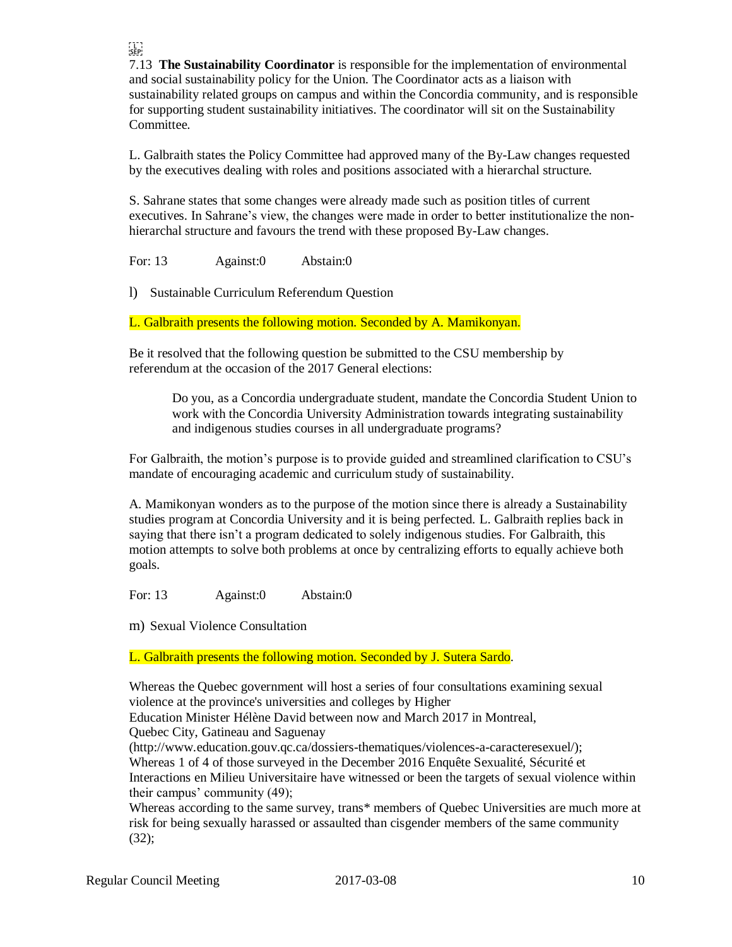7.13 **The Sustainability Coordinator** is responsible for the implementation of environmental and social sustainability policy for the Union. The Coordinator acts as a liaison with sustainability related groups on campus and within the Concordia community, and is responsible for supporting student sustainability initiatives. The coordinator will sit on the Sustainability Committee.

L. Galbraith states the Policy Committee had approved many of the By-Law changes requested by the executives dealing with roles and positions associated with a hierarchal structure.

S. Sahrane states that some changes were already made such as position titles of current executives. In Sahrane's view, the changes were made in order to better institutionalize the nonhierarchal structure and favours the trend with these proposed By-Law changes.

For: 13 Against:0 Abstain:0

FTER<br>SEP:

l) Sustainable Curriculum Referendum Question

L. Galbraith presents the following motion. Seconded by A. Mamikonyan.

Be it resolved that the following question be submitted to the CSU membership by referendum at the occasion of the 2017 General elections:

Do you, as a Concordia undergraduate student, mandate the Concordia Student Union to work with the Concordia University Administration towards integrating sustainability and indigenous studies courses in all undergraduate programs?

For Galbraith, the motion's purpose is to provide guided and streamlined clarification to CSU's mandate of encouraging academic and curriculum study of sustainability.

A. Mamikonyan wonders as to the purpose of the motion since there is already a Sustainability studies program at Concordia University and it is being perfected. L. Galbraith replies back in saying that there isn't a program dedicated to solely indigenous studies. For Galbraith, this motion attempts to solve both problems at once by centralizing efforts to equally achieve both goals.

For: 13 Against:0 Abstain:0

m) Sexual Violence Consultation

L. Galbraith presents the following motion. Seconded by J. Sutera Sardo.

Whereas the Quebec government will host a series of four consultations examining sexual violence at the province's universities and colleges by Higher

Education Minister Hélène David between now and March 2017 in Montreal,

Quebec City, Gatineau and Saguenay

(http://www.education.gouv.qc.ca/dossiers-thematiques/violences-a-caracteresexuel/); Whereas 1 of 4 of those surveyed in the December 2016 Enquête Sexualité, Sécurité et Interactions en Milieu Universitaire have witnessed or been the targets of sexual violence within their campus' community (49);

Whereas according to the same survey, trans\* members of Quebec Universities are much more at risk for being sexually harassed or assaulted than cisgender members of the same community (32);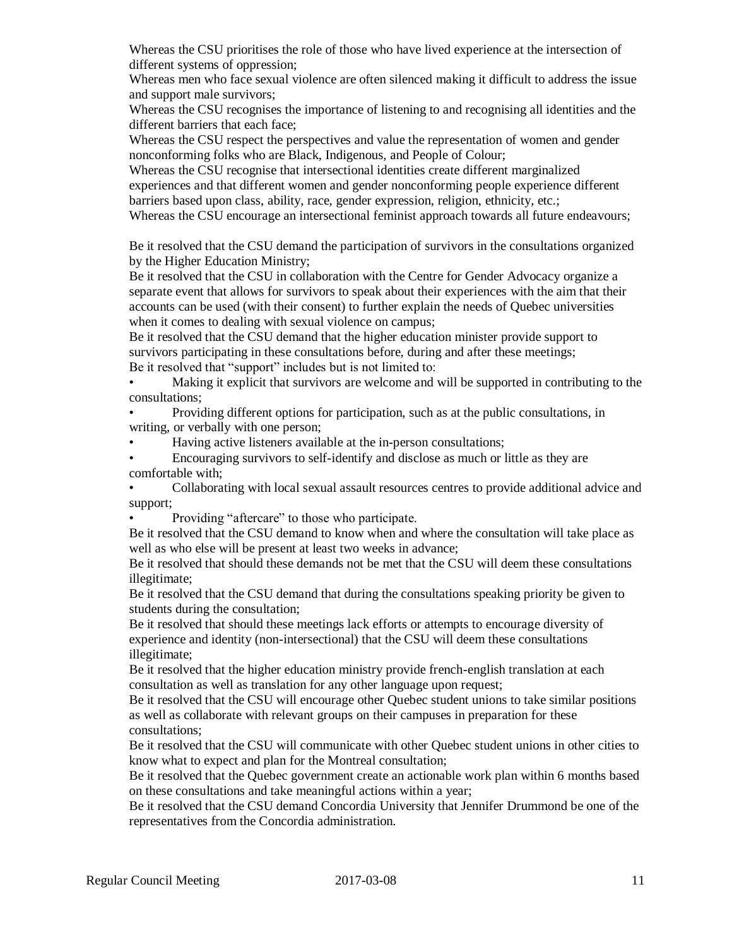Whereas the CSU prioritises the role of those who have lived experience at the intersection of different systems of oppression;

Whereas men who face sexual violence are often silenced making it difficult to address the issue and support male survivors;

Whereas the CSU recognises the importance of listening to and recognising all identities and the different barriers that each face;

Whereas the CSU respect the perspectives and value the representation of women and gender nonconforming folks who are Black, Indigenous, and People of Colour;

Whereas the CSU recognise that intersectional identities create different marginalized experiences and that different women and gender nonconforming people experience different barriers based upon class, ability, race, gender expression, religion, ethnicity, etc.;

Whereas the CSU encourage an intersectional feminist approach towards all future endeavours;

Be it resolved that the CSU demand the participation of survivors in the consultations organized by the Higher Education Ministry;

Be it resolved that the CSU in collaboration with the Centre for Gender Advocacy organize a separate event that allows for survivors to speak about their experiences with the aim that their accounts can be used (with their consent) to further explain the needs of Quebec universities when it comes to dealing with sexual violence on campus;

Be it resolved that the CSU demand that the higher education minister provide support to survivors participating in these consultations before, during and after these meetings; Be it resolved that "support" includes but is not limited to:

• Making it explicit that survivors are welcome and will be supported in contributing to the consultations;

• Providing different options for participation, such as at the public consultations, in writing, or verbally with one person;

• Having active listeners available at the in-person consultations;

• Encouraging survivors to self-identify and disclose as much or little as they are comfortable with;

• Collaborating with local sexual assault resources centres to provide additional advice and support;

Providing "aftercare" to those who participate.

Be it resolved that the CSU demand to know when and where the consultation will take place as well as who else will be present at least two weeks in advance;

Be it resolved that should these demands not be met that the CSU will deem these consultations illegitimate;

Be it resolved that the CSU demand that during the consultations speaking priority be given to students during the consultation;

Be it resolved that should these meetings lack efforts or attempts to encourage diversity of experience and identity (non-intersectional) that the CSU will deem these consultations illegitimate;

Be it resolved that the higher education ministry provide french-english translation at each consultation as well as translation for any other language upon request;

Be it resolved that the CSU will encourage other Quebec student unions to take similar positions as well as collaborate with relevant groups on their campuses in preparation for these consultations;

Be it resolved that the CSU will communicate with other Quebec student unions in other cities to know what to expect and plan for the Montreal consultation;

Be it resolved that the Quebec government create an actionable work plan within 6 months based on these consultations and take meaningful actions within a year;

Be it resolved that the CSU demand Concordia University that Jennifer Drummond be one of the representatives from the Concordia administration.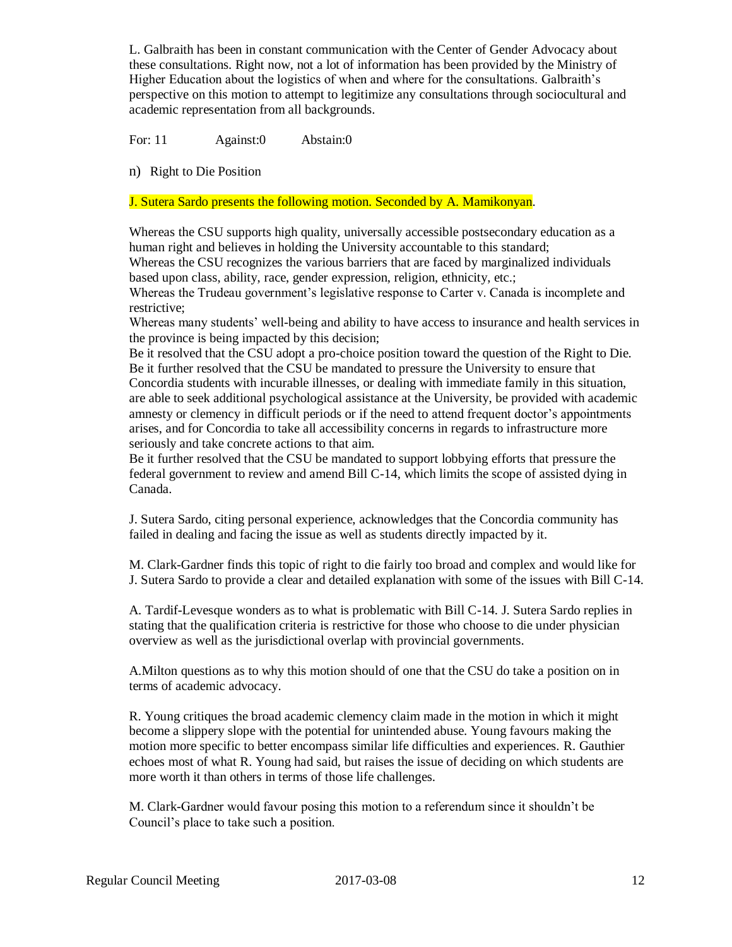L. Galbraith has been in constant communication with the Center of Gender Advocacy about these consultations. Right now, not a lot of information has been provided by the Ministry of Higher Education about the logistics of when and where for the consultations. Galbraith's perspective on this motion to attempt to legitimize any consultations through sociocultural and academic representation from all backgrounds.

For: 11 Against:0 Abstain:0

n) Right to Die Position

J. Sutera Sardo presents the following motion. Seconded by A. Mamikonyan.

Whereas the CSU supports high quality, universally accessible postsecondary education as a human right and believes in holding the University accountable to this standard;

Whereas the CSU recognizes the various barriers that are faced by marginalized individuals based upon class, ability, race, gender expression, religion, ethnicity, etc.;

Whereas the Trudeau government's legislative response to Carter v. Canada is incomplete and restrictive;

Whereas many students' well-being and ability to have access to insurance and health services in the province is being impacted by this decision;

Be it resolved that the CSU adopt a pro-choice position toward the question of the Right to Die. Be it further resolved that the CSU be mandated to pressure the University to ensure that Concordia students with incurable illnesses, or dealing with immediate family in this situation, are able to seek additional psychological assistance at the University, be provided with academic amnesty or clemency in difficult periods or if the need to attend frequent doctor's appointments arises, and for Concordia to take all accessibility concerns in regards to infrastructure more seriously and take concrete actions to that aim.

Be it further resolved that the CSU be mandated to support lobbying efforts that pressure the federal government to review and amend Bill C-14, which limits the scope of assisted dying in Canada.

J. Sutera Sardo, citing personal experience, acknowledges that the Concordia community has failed in dealing and facing the issue as well as students directly impacted by it.

M. Clark-Gardner finds this topic of right to die fairly too broad and complex and would like for J. Sutera Sardo to provide a clear and detailed explanation with some of the issues with Bill C-14.

A. Tardif-Levesque wonders as to what is problematic with Bill C-14. J. Sutera Sardo replies in stating that the qualification criteria is restrictive for those who choose to die under physician overview as well as the jurisdictional overlap with provincial governments.

A.Milton questions as to why this motion should of one that the CSU do take a position on in terms of academic advocacy.

R. Young critiques the broad academic clemency claim made in the motion in which it might become a slippery slope with the potential for unintended abuse. Young favours making the motion more specific to better encompass similar life difficulties and experiences. R. Gauthier echoes most of what R. Young had said, but raises the issue of deciding on which students are more worth it than others in terms of those life challenges.

M. Clark-Gardner would favour posing this motion to a referendum since it shouldn't be Council's place to take such a position.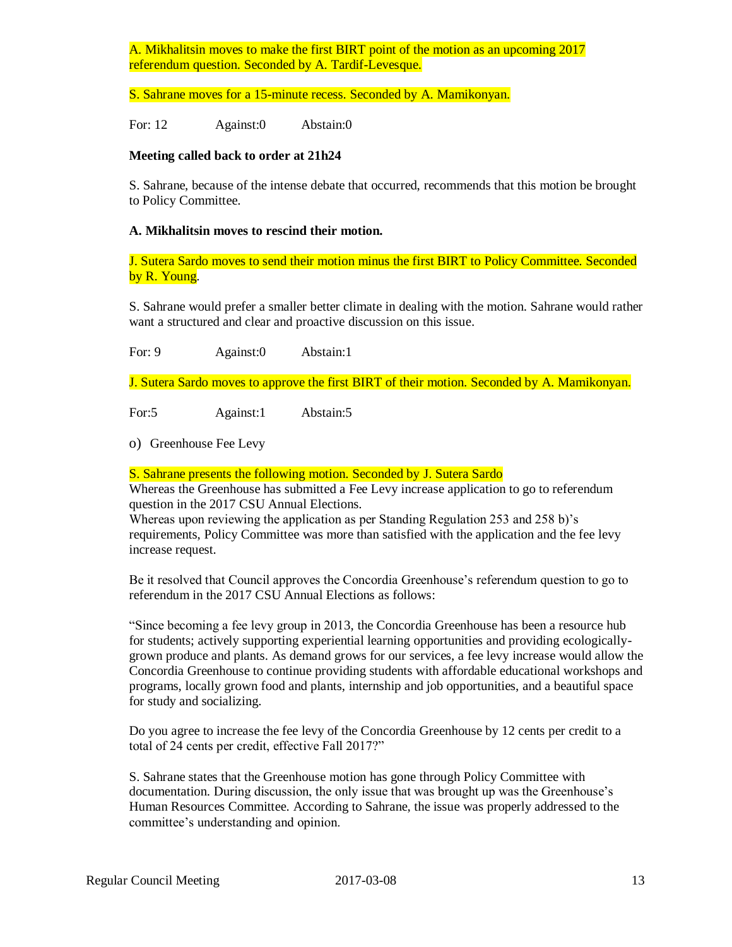A. Mikhalitsin moves to make the first BIRT point of the motion as an upcoming 2017 referendum question. Seconded by A. Tardif-Levesque.

S. Sahrane moves for a 15-minute recess. Seconded by A. Mamikonyan.

For: 12 Against:0 Abstain:0

## **Meeting called back to order at 21h24**

S. Sahrane, because of the intense debate that occurred, recommends that this motion be brought to Policy Committee.

## **A. Mikhalitsin moves to rescind their motion.**

J. Sutera Sardo moves to send their motion minus the first BIRT to Policy Committee. Seconded by R. Young.

S. Sahrane would prefer a smaller better climate in dealing with the motion. Sahrane would rather want a structured and clear and proactive discussion on this issue.

For: 9 Against:0 Abstain:1

J. Sutera Sardo moves to approve the first BIRT of their motion. Seconded by A. Mamikonyan.

For:5 Against:1 Abstain:5

o) Greenhouse Fee Levy

## S. Sahrane presents the following motion. Seconded by J. Sutera Sardo

Whereas the Greenhouse has submitted a Fee Levy increase application to go to referendum question in the 2017 CSU Annual Elections.

Whereas upon reviewing the application as per Standing Regulation 253 and 258 b)'s requirements, Policy Committee was more than satisfied with the application and the fee levy increase request.

Be it resolved that Council approves the Concordia Greenhouse's referendum question to go to referendum in the 2017 CSU Annual Elections as follows:

"Since becoming a fee levy group in 2013, the Concordia Greenhouse has been a resource hub for students; actively supporting experiential learning opportunities and providing ecologicallygrown produce and plants. As demand grows for our services, a fee levy increase would allow the Concordia Greenhouse to continue providing students with affordable educational workshops and programs, locally grown food and plants, internship and job opportunities, and a beautiful space for study and socializing.

Do you agree to increase the fee levy of the Concordia Greenhouse by 12 cents per credit to a total of 24 cents per credit, effective Fall 2017?"

S. Sahrane states that the Greenhouse motion has gone through Policy Committee with documentation. During discussion, the only issue that was brought up was the Greenhouse's Human Resources Committee. According to Sahrane, the issue was properly addressed to the committee's understanding and opinion.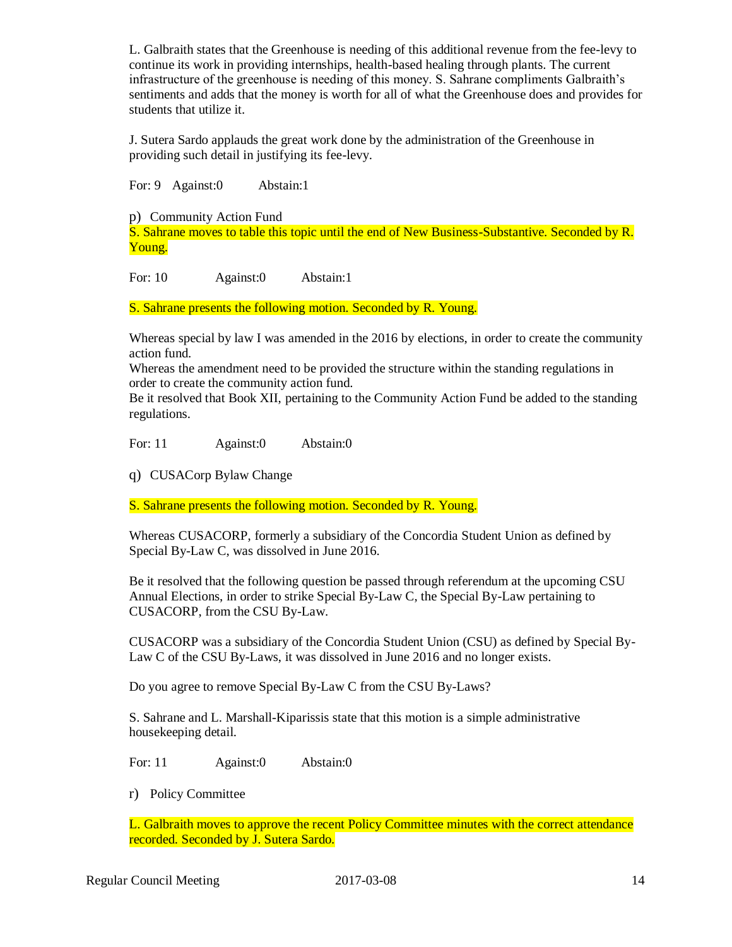L. Galbraith states that the Greenhouse is needing of this additional revenue from the fee-levy to continue its work in providing internships, health-based healing through plants. The current infrastructure of the greenhouse is needing of this money. S. Sahrane compliments Galbraith's sentiments and adds that the money is worth for all of what the Greenhouse does and provides for students that utilize it.

J. Sutera Sardo applauds the great work done by the administration of the Greenhouse in providing such detail in justifying its fee-levy.

For: 9 Against:0 Abstain:1

p) Community Action Fund S. Sahrane moves to table this topic until the end of New Business-Substantive. Seconded by R. Young.

For: 10 Against:0 Abstain:1

S. Sahrane presents the following motion. Seconded by R. Young.

Whereas special by law I was amended in the 2016 by elections, in order to create the community action fund.

Whereas the amendment need to be provided the structure within the standing regulations in order to create the community action fund.

Be it resolved that Book XII, pertaining to the Community Action Fund be added to the standing regulations.

For: 11 Against:0 Abstain:0

q) CUSACorp Bylaw Change

S. Sahrane presents the following motion. Seconded by R. Young.

Whereas CUSACORP, formerly a subsidiary of the Concordia Student Union as defined by Special By-Law C, was dissolved in June 2016.

Be it resolved that the following question be passed through referendum at the upcoming CSU Annual Elections, in order to strike Special By-Law C, the Special By-Law pertaining to CUSACORP, from the CSU By-Law.

CUSACORP was a subsidiary of the Concordia Student Union (CSU) as defined by Special By-Law C of the CSU By-Laws, it was dissolved in June 2016 and no longer exists.

Do you agree to remove Special By-Law C from the CSU By-Laws?

S. Sahrane and L. Marshall-Kiparissis state that this motion is a simple administrative housekeeping detail.

For: 11 Against:0 Abstain:0

r) Policy Committee

L. Galbraith moves to approve the recent Policy Committee minutes with the correct attendance recorded. Seconded by J. Sutera Sardo.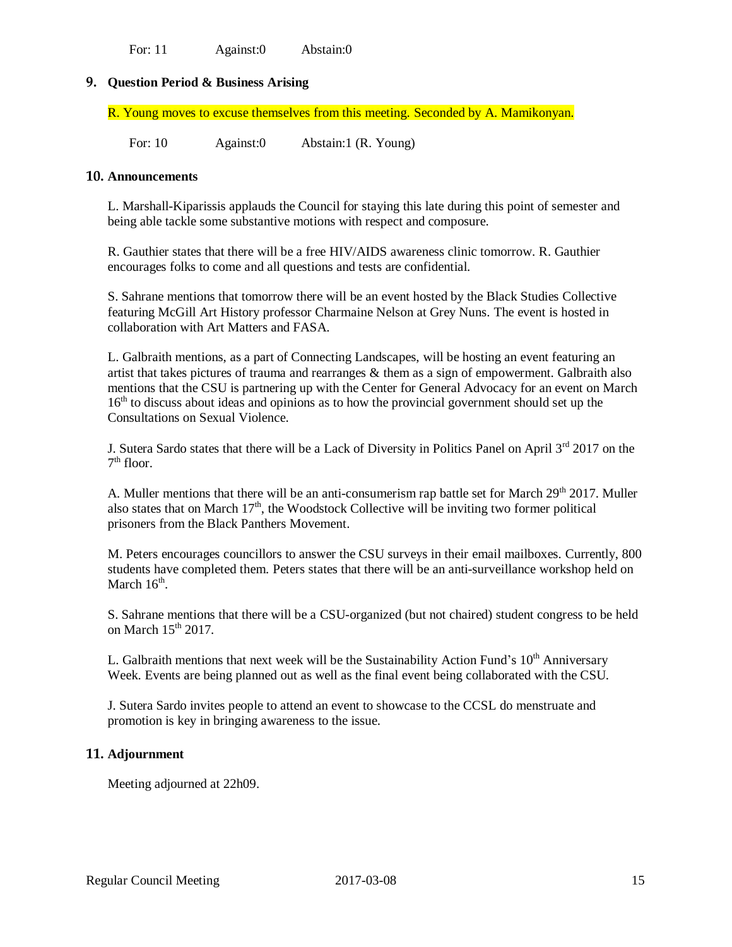For: 11 Against:0 Abstain:0

# **9. Question Period & Business Arising**

R. Young moves to excuse themselves from this meeting. Seconded by A. Mamikonyan.

For: 10 Against:0 Abstain:1 (R. Young)

## **10. Announcements**

L. Marshall-Kiparissis applauds the Council for staying this late during this point of semester and being able tackle some substantive motions with respect and composure.

R. Gauthier states that there will be a free HIV/AIDS awareness clinic tomorrow. R. Gauthier encourages folks to come and all questions and tests are confidential.

S. Sahrane mentions that tomorrow there will be an event hosted by the Black Studies Collective featuring McGill Art History professor Charmaine Nelson at Grey Nuns. The event is hosted in collaboration with Art Matters and FASA.

L. Galbraith mentions, as a part of Connecting Landscapes, will be hosting an event featuring an artist that takes pictures of trauma and rearranges & them as a sign of empowerment. Galbraith also mentions that the CSU is partnering up with the Center for General Advocacy for an event on March  $16<sup>th</sup>$  to discuss about ideas and opinions as to how the provincial government should set up the Consultations on Sexual Violence.

J. Sutera Sardo states that there will be a Lack of Diversity in Politics Panel on April 3<sup>rd</sup> 2017 on the 7<sup>th</sup> floor.

A. Muller mentions that there will be an anti-consumerism rap battle set for March 29<sup>th</sup> 2017. Muller also states that on March  $17<sup>th</sup>$ , the Woodstock Collective will be inviting two former political prisoners from the Black Panthers Movement.

M. Peters encourages councillors to answer the CSU surveys in their email mailboxes. Currently, 800 students have completed them. Peters states that there will be an anti-surveillance workshop held on March  $16<sup>th</sup>$ .

S. Sahrane mentions that there will be a CSU-organized (but not chaired) student congress to be held on March  $15<sup>th</sup> 2017$ .

L. Galbraith mentions that next week will be the Sustainability Action Fund's  $10<sup>th</sup>$  Anniversary Week. Events are being planned out as well as the final event being collaborated with the CSU.

J. Sutera Sardo invites people to attend an event to showcase to the CCSL do menstruate and promotion is key in bringing awareness to the issue.

## **11. Adjournment**

Meeting adjourned at 22h09.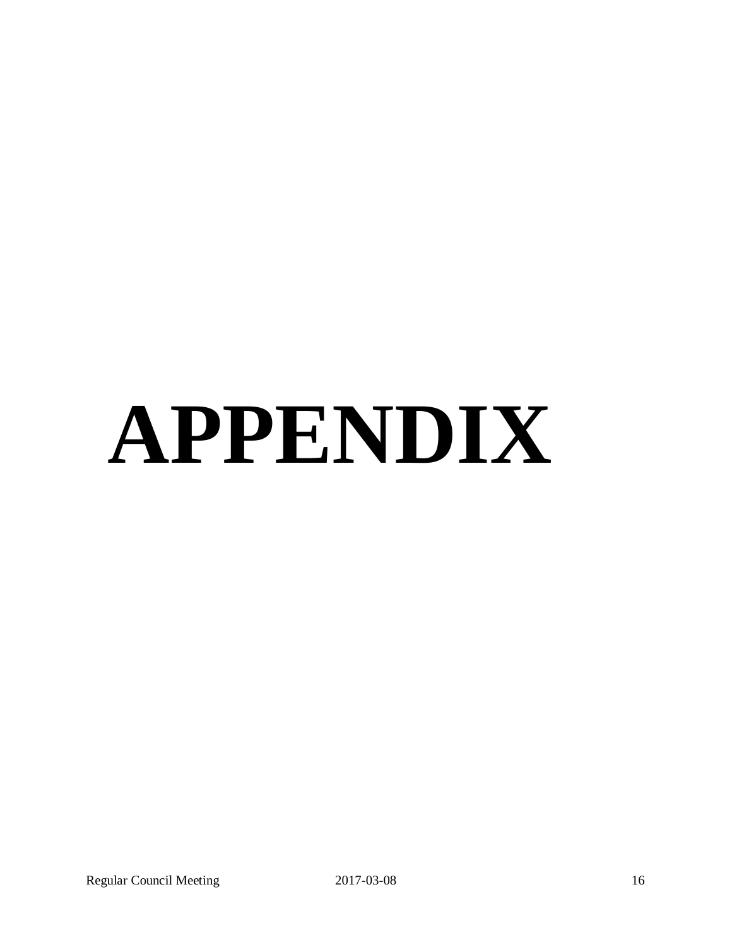# **APPENDIX**